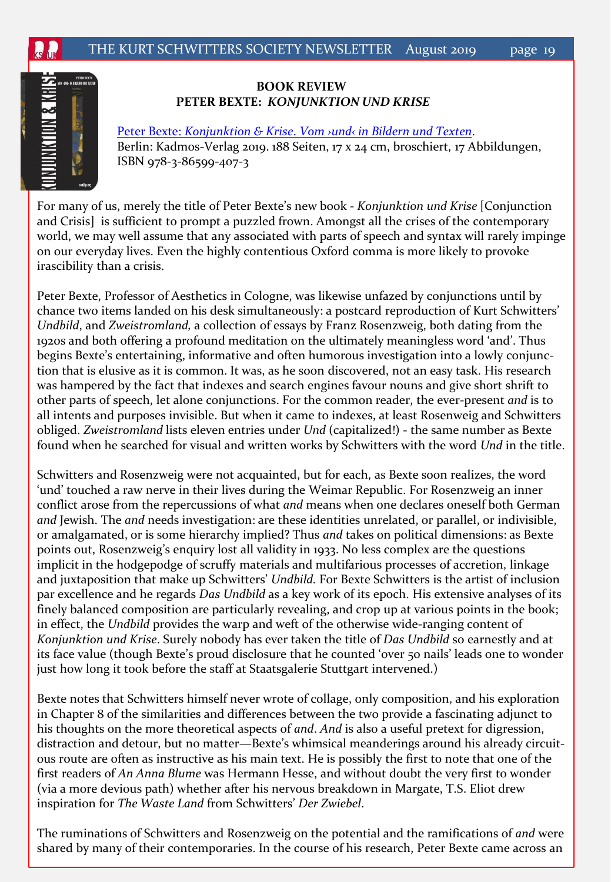

## **BOOK REVIEW PETER BEXTE:** *KONJUNKTION UND KRISE*

**[Peter Bexte:](https://www.khm.de/termine/news.4726.peter-bexte-konjunktion-krise/) [Konjunktion & Krise](https://www.khm.de/termine/news.4726.peter-bexte-konjunktion-krise/)[.](https://www.khm.de/termine/news.4726.peter-bexte-konjunktion-krise/) Vom and in Bildern und Texten.** Berlin: Kadmos-Verlag 2019. 188 Seiten, 17 x 24 cm, broschiert, 17 Abbildungen, ISBN 978-3-86599-407-3

For many of us, merely the title of Peter Bexteǯs new book *- Konjunktion und Krise* [Conjunction and Crisis] is sufficient to prompt a puzzled frown. Amongst all the crises of the contemporary world, we may well assume that any associated with parts of speech and syntax will rarely impinge on our everyday lives. Even the highly contentious Oxford comma is more likely to provoke irascibility than a crisis.

Peter Bexte, Professor of Aesthetics in Cologne, was likewise unfazed by conjunctions until by chance two items landed on his desk simultaneously: a postcard reproduction of Kurt Schwitters' *Undbild*, and *Zweistromland,* a collection of essays by Franz Rosenzweig, both dating from the 1920s and both offering a profound meditation on the ultimately meaningless word 'and'. Thus begins Bexte's entertaining, informative and often humorous investigation into a lowly conjunction that is elusive as it is common. It was, as he soon discovered, not an easy task. His research was hampered by the fact that indexes and search engines favour nouns and give short shrift to other parts of speech, let alone conjunctions. For the common reader, the ever-present *and* is to all intents and purposes invisible. But when it came to indexes, at least Rosenweig and Schwitters obliged. *Zweistromland* lists eleven entries under *Und* (capitalized!) - the same number as Bexte found when he searched for visual and written works by Schwitters with the word *Und* in the title.

Schwitters and Rosenzweig were not acquainted, but for each, as Bexte soon realizes, the word Ǯundǯ touched a raw nerve in their lives during the Weimar Republic. For Rosenzweig an inner conflict arose from the repercussions of what *and* means when one declares oneself both German *and* Jewish. The *and* needs investigation: are these identities unrelated, or parallel, or indivisible, or amalgamated, or is some hierarchy implied? Thus *and* takes on political dimensions: as Bexte points out, Rosenzweig's enquiry lost all validity in 1933. No less complex are the questions implicit in the hodgepodge of scruffy materials and multifarious processes of accretion, linkage and juxtaposition that make up Schwitters' *Undbild*. For Bexte Schwitters is the artist of inclusion par excellence and he regards *Das Undbild* as a key work of its epoch. His extensive analyses of its finely balanced composition are particularly revealing, and crop up at various points in the book; in effect, the *Undbild* provides the warp and weft of the otherwise wide-ranging content of *Konjunktion und Krise*. Surely nobody has ever taken the title of *Das Undbild* so earnestly and at its face value (though Bexte's proud disclosure that he counted 'over 50 nails' leads one to wonder just how long it took before the staff at Staatsgalerie Stuttgart intervened.)

Bexte notes that Schwitters himself never wrote of collage, only composition, and his exploration in Chapter 8 of the similarities and differences between the two provide a fascinating adjunct to his thoughts on the more theoretical aspects of *and*. *And* is also a useful pretext for digression, distraction and detour, but no matter—Bexte's whimsical meanderings around his already circuitous route are often as instructive as his main text. He is possibly the first to note that one of the first readers of *An Anna Blume* was Hermann Hesse, and without doubt the very first to wonder (via a more devious path) whether after his nervous breakdown in Margate, T.S. Eliot drew inspiration for *The Waste Land* from Schwitters' Der Zwiebel.

The ruminations of Schwitters and Rosenzweig on the potential and the ramifications of *and* were shared by many of their contemporaries. In the course of his research, Peter Bexte came across an